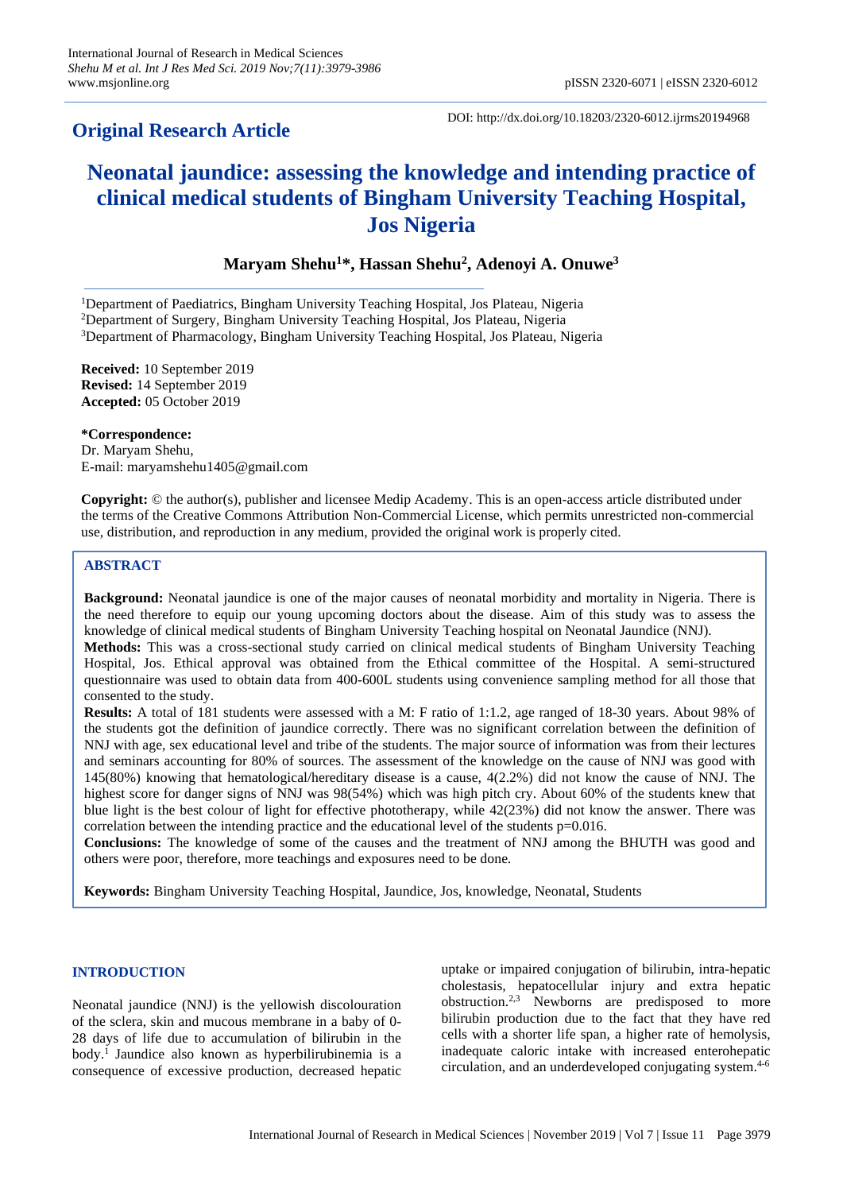# **Original Research Article**

DOI: http://dx.doi.org/10.18203/2320-6012.ijrms20194968

# **Neonatal jaundice: assessing the knowledge and intending practice of clinical medical students of Bingham University Teaching Hospital, Jos Nigeria**

# **Maryam Shehu<sup>1</sup>\*, Hassan Shehu<sup>2</sup> , Adenoyi A. Onuwe<sup>3</sup>**

<sup>1</sup>Department of Paediatrics, Bingham University Teaching Hospital, Jos Plateau, Nigeria <sup>2</sup>Department of Surgery, Bingham University Teaching Hospital, Jos Plateau, Nigeria <sup>3</sup>Department of Pharmacology, Bingham University Teaching Hospital, Jos Plateau, Nigeria

**Received:** 10 September 2019 **Revised:** 14 September 2019 **Accepted:** 05 October 2019

**\*Correspondence:** Dr. Maryam Shehu, E-mail: maryamshehu1405@gmail.com

**Copyright:** © the author(s), publisher and licensee Medip Academy. This is an open-access article distributed under the terms of the Creative Commons Attribution Non-Commercial License, which permits unrestricted non-commercial use, distribution, and reproduction in any medium, provided the original work is properly cited.

# **ABSTRACT**

**Background:** Neonatal jaundice is one of the major causes of neonatal morbidity and mortality in Nigeria. There is the need therefore to equip our young upcoming doctors about the disease. Aim of this study was to assess the knowledge of clinical medical students of Bingham University Teaching hospital on Neonatal Jaundice (NNJ). **Methods:** This was a cross-sectional study carried on clinical medical students of Bingham University Teaching Hospital, Jos. Ethical approval was obtained from the Ethical committee of the Hospital. A semi-structured questionnaire was used to obtain data from 400-600L students using convenience sampling method for all those that consented to the study.

**Results:** A total of 181 students were assessed with a M: F ratio of 1:1.2, age ranged of 18-30 years. About 98% of the students got the definition of jaundice correctly. There was no significant correlation between the definition of NNJ with age, sex educational level and tribe of the students. The major source of information was from their lectures and seminars accounting for 80% of sources. The assessment of the knowledge on the cause of NNJ was good with 145(80%) knowing that hematological/hereditary disease is a cause, 4(2.2%) did not know the cause of NNJ. The highest score for danger signs of NNJ was 98(54%) which was high pitch cry. About 60% of the students knew that blue light is the best colour of light for effective phototherapy, while 42(23%) did not know the answer. There was correlation between the intending practice and the educational level of the students  $p=0.016$ .

**Conclusions:** The knowledge of some of the causes and the treatment of NNJ among the BHUTH was good and others were poor, therefore, more teachings and exposures need to be done.

**Keywords:** Bingham University Teaching Hospital, Jaundice, Jos, knowledge, Neonatal, Students

# **INTRODUCTION**

Neonatal jaundice (NNJ) is the yellowish discolouration of the sclera, skin and mucous membrane in a baby of 0- 28 days of life due to accumulation of bilirubin in the body.<sup>1</sup> Jaundice also known as hyperbilirubinemia is a consequence of excessive production, decreased hepatic uptake or impaired conjugation of bilirubin, intra-hepatic cholestasis, hepatocellular injury and extra hepatic obstruction.2,3 Newborns are predisposed to more bilirubin production due to the fact that they have red cells with a shorter life span, a higher rate of hemolysis, inadequate caloric intake with increased enterohepatic circulation, and an underdeveloped conjugating system.4-6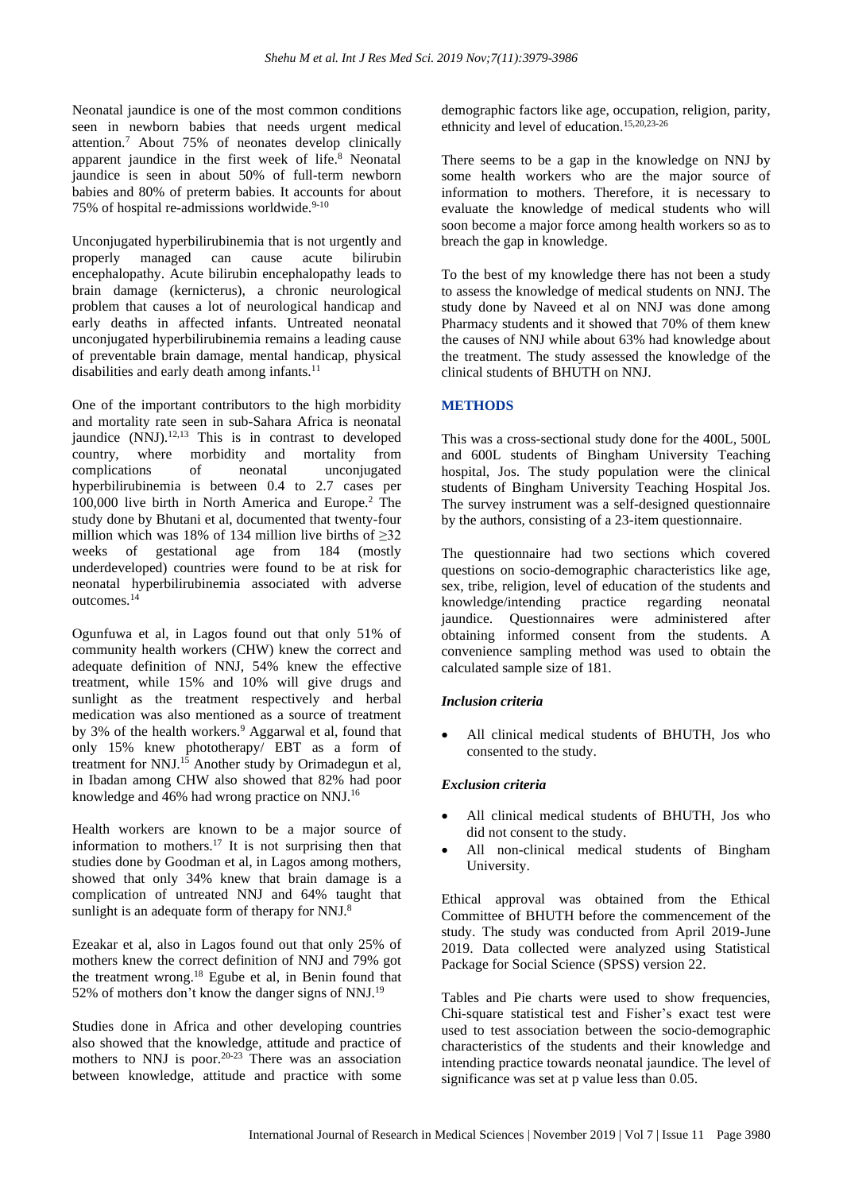Neonatal jaundice is one of the most common conditions seen in newborn babies that needs urgent medical attention.<sup>7</sup> About 75% of neonates develop clinically apparent jaundice in the first week of life.<sup>8</sup> Neonatal jaundice is seen in about 50% of full-term newborn babies and 80% of preterm babies. It accounts for about 75% of hospital re-admissions worldwide.<sup>9-10</sup>

Unconjugated hyperbilirubinemia that is not urgently and properly managed can cause acute bilirubin encephalopathy. Acute bilirubin encephalopathy leads to brain damage (kernicterus), a chronic neurological problem that causes a lot of neurological handicap and early deaths in affected infants. Untreated neonatal unconjugated hyperbilirubinemia remains a leading cause of preventable brain damage, mental handicap, physical disabilities and early death among infants.<sup>11</sup>

One of the important contributors to the high morbidity and mortality rate seen in sub-Sahara Africa is neonatal jaundice (NNJ).<sup>12,13</sup> This is in contrast to developed country, where morbidity and mortality from complications of neonatal unconjugated hyperbilirubinemia is between 0.4 to 2.7 cases per 100,000 live birth in North America and Europe.<sup>2</sup> The study done by Bhutani et al, documented that twenty-four million which was 18% of 134 million live births of  $\geq 32$ weeks of gestational age from 184 (mostly underdeveloped) countries were found to be at risk for neonatal hyperbilirubinemia associated with adverse outcomes.<sup>14</sup>

Ogunfuwa et al, in Lagos found out that only 51% of community health workers (CHW) knew the correct and adequate definition of NNJ, 54% knew the effective treatment, while 15% and 10% will give drugs and sunlight as the treatment respectively and herbal medication was also mentioned as a source of treatment by 3% of the health workers.<sup>9</sup> Aggarwal et al, found that only 15% knew phototherapy/ EBT as a form of treatment for NNJ.<sup>15</sup> Another study by Orimadegun et al, in Ibadan among CHW also showed that 82% had poor knowledge and 46% had wrong practice on NNJ.<sup>16</sup>

Health workers are known to be a major source of information to mothers.<sup>17</sup> It is not surprising then that studies done by Goodman et al, in Lagos among mothers, showed that only 34% knew that brain damage is a complication of untreated NNJ and 64% taught that sunlight is an adequate form of therapy for NNJ.<sup>8</sup>

Ezeakar et al, also in Lagos found out that only 25% of mothers knew the correct definition of NNJ and 79% got the treatment wrong.<sup>18</sup> Egube et al, in Benin found that 52% of mothers don't know the danger signs of NNJ.<sup>19</sup>

Studies done in Africa and other developing countries also showed that the knowledge, attitude and practice of mothers to NNJ is poor.<sup>20-23</sup> There was an association between knowledge, attitude and practice with some demographic factors like age, occupation, religion, parity, ethnicity and level of education.15,20,23-26

There seems to be a gap in the knowledge on NNJ by some health workers who are the major source of information to mothers. Therefore, it is necessary to evaluate the knowledge of medical students who will soon become a major force among health workers so as to breach the gap in knowledge.

To the best of my knowledge there has not been a study to assess the knowledge of medical students on NNJ. The study done by Naveed et al on NNJ was done among Pharmacy students and it showed that 70% of them knew the causes of NNJ while about 63% had knowledge about the treatment. The study assessed the knowledge of the clinical students of BHUTH on NNJ.

# **METHODS**

This was a cross-sectional study done for the 400L, 500L and 600L students of Bingham University Teaching hospital, Jos. The study population were the clinical students of Bingham University Teaching Hospital Jos. The survey instrument was a self-designed questionnaire by the authors, consisting of a 23-item questionnaire.

The questionnaire had two sections which covered questions on socio-demographic characteristics like age, sex, tribe, religion, level of education of the students and knowledge/intending practice regarding neonatal jaundice. Questionnaires were administered after obtaining informed consent from the students. A convenience sampling method was used to obtain the calculated sample size of 181.

# *Inclusion criteria*

• All clinical medical students of BHUTH, Jos who consented to the study.

#### *Exclusion criteria*

- All clinical medical students of BHUTH, Jos who did not consent to the study.
- All non-clinical medical students of Bingham University.

Ethical approval was obtained from the Ethical Committee of BHUTH before the commencement of the study. The study was conducted from April 2019-June 2019. Data collected were analyzed using Statistical Package for Social Science (SPSS) version 22.

Tables and Pie charts were used to show frequencies, Chi-square statistical test and Fisher's exact test were used to test association between the socio-demographic characteristics of the students and their knowledge and intending practice towards neonatal jaundice. The level of significance was set at p value less than 0.05.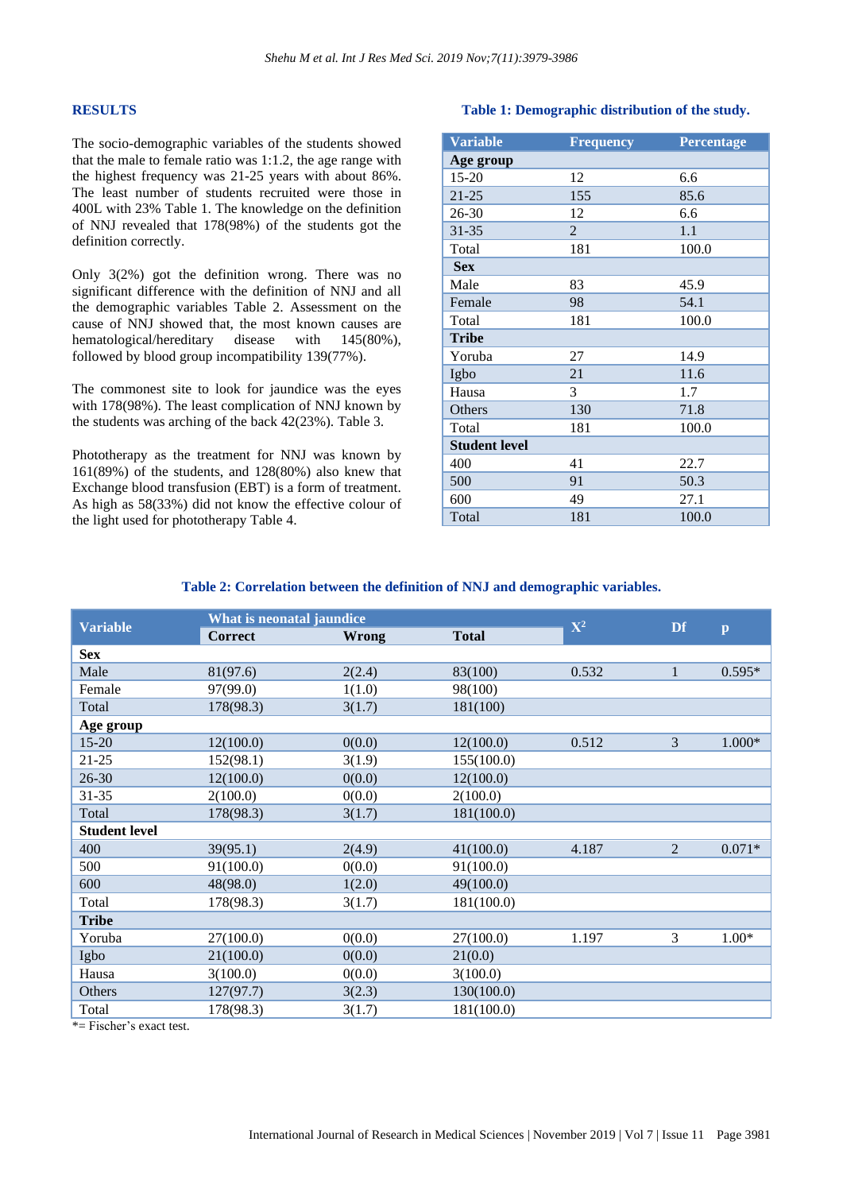#### **RESULTS**

The socio-demographic variables of the students showed that the male to female ratio was 1:1.2, the age range with the highest frequency was 21-25 years with about 86%. The least number of students recruited were those in 400L with 23% Table 1. The knowledge on the definition of NNJ revealed that 178(98%) of the students got the definition correctly.

Only 3(2%) got the definition wrong. There was no significant difference with the definition of NNJ and all the demographic variables Table 2. Assessment on the cause of NNJ showed that, the most known causes are hematological/hereditary disease with 145(80%), followed by blood group incompatibility 139(77%).

The commonest site to look for jaundice was the eyes with 178(98%). The least complication of NNJ known by the students was arching of the back 42(23%). Table 3.

Phototherapy as the treatment for NNJ was known by 161(89%) of the students, and 128(80%) also knew that Exchange blood transfusion (EBT) is a form of treatment. As high as 58(33%) did not know the effective colour of the light used for phototherapy Table 4.

#### **Table 1: Demographic distribution of the study.**

| <b>Variable</b>      | <b>Frequency</b> | Percentage |
|----------------------|------------------|------------|
| Age group            |                  |            |
| 15-20                | 12               | 6.6        |
| $21 - 25$            | 155              | 85.6       |
| $26 - 30$            | 12               | 6.6        |
| 31-35                | $\overline{2}$   | 1.1        |
| Total                | 181              | 100.0      |
| <b>Sex</b>           |                  |            |
| Male                 | 83               | 45.9       |
| Female               | 98               | 54.1       |
| Total                | 181              | 100.0      |
| <b>Tribe</b>         |                  |            |
| Yoruba               | 27               | 14.9       |
| Igbo                 | 21               | 11.6       |
| Hausa                | 3                | 1.7        |
| Others               | 130              | 71.8       |
| Total                | 181              | 100.0      |
| <b>Student level</b> |                  |            |
| 400                  | 41               | 22.7       |
| 500                  | 91               | 50.3       |
| 600                  | 49               | 27.1       |
| Total                | 181              | 100.0      |

#### **Table 2: Correlation between the definition of NNJ and demographic variables.**

| <b>Variable</b>      | What is neonatal jaundice |        |              |                |                |              |
|----------------------|---------------------------|--------|--------------|----------------|----------------|--------------|
|                      | <b>Correct</b>            | Wrong  | <b>Total</b> | $\mathbf{X}^2$ | Df             | $\mathbf{p}$ |
| <b>Sex</b>           |                           |        |              |                |                |              |
| Male                 | 81(97.6)                  | 2(2.4) | 83(100)      | 0.532          | 1              | $0.595*$     |
| Female               | 97(99.0)                  | 1(1.0) | 98(100)      |                |                |              |
| Total                | 178(98.3)                 | 3(1.7) | 181(100)     |                |                |              |
| Age group            |                           |        |              |                |                |              |
| $15 - 20$            | 12(100.0)                 | 0(0.0) | 12(100.0)    | 0.512          | 3              | $1.000*$     |
| $21 - 25$            | 152(98.1)                 | 3(1.9) | 155(100.0)   |                |                |              |
| $26 - 30$            | 12(100.0)                 | 0(0.0) | 12(100.0)    |                |                |              |
| $31 - 35$            | 2(100.0)                  | 0(0.0) | 2(100.0)     |                |                |              |
| Total                | 178(98.3)                 | 3(1.7) | 181(100.0)   |                |                |              |
| <b>Student level</b> |                           |        |              |                |                |              |
| 400                  | 39(95.1)                  | 2(4.9) | 41(100.0)    | 4.187          | $\overline{2}$ | $0.071*$     |
| 500                  | 91(100.0)                 | 0(0.0) | 91(100.0)    |                |                |              |
| 600                  | 48(98.0)                  | 1(2.0) | 49(100.0)    |                |                |              |
| Total                | 178(98.3)                 | 3(1.7) | 181(100.0)   |                |                |              |
| <b>Tribe</b>         |                           |        |              |                |                |              |
| Yoruba               | 27(100.0)                 | 0(0.0) | 27(100.0)    | 1.197          | 3              | $1.00*$      |
| Igbo                 | 21(100.0)                 | 0(0.0) | 21(0.0)      |                |                |              |
| Hausa                | 3(100.0)                  | 0(0.0) | 3(100.0)     |                |                |              |
| Others               | 127(97.7)                 | 3(2.3) | 130(100.0)   |                |                |              |
| Total                | 178(98.3)                 | 3(1.7) | 181(100.0)   |                |                |              |

\*= Fischer's exact test.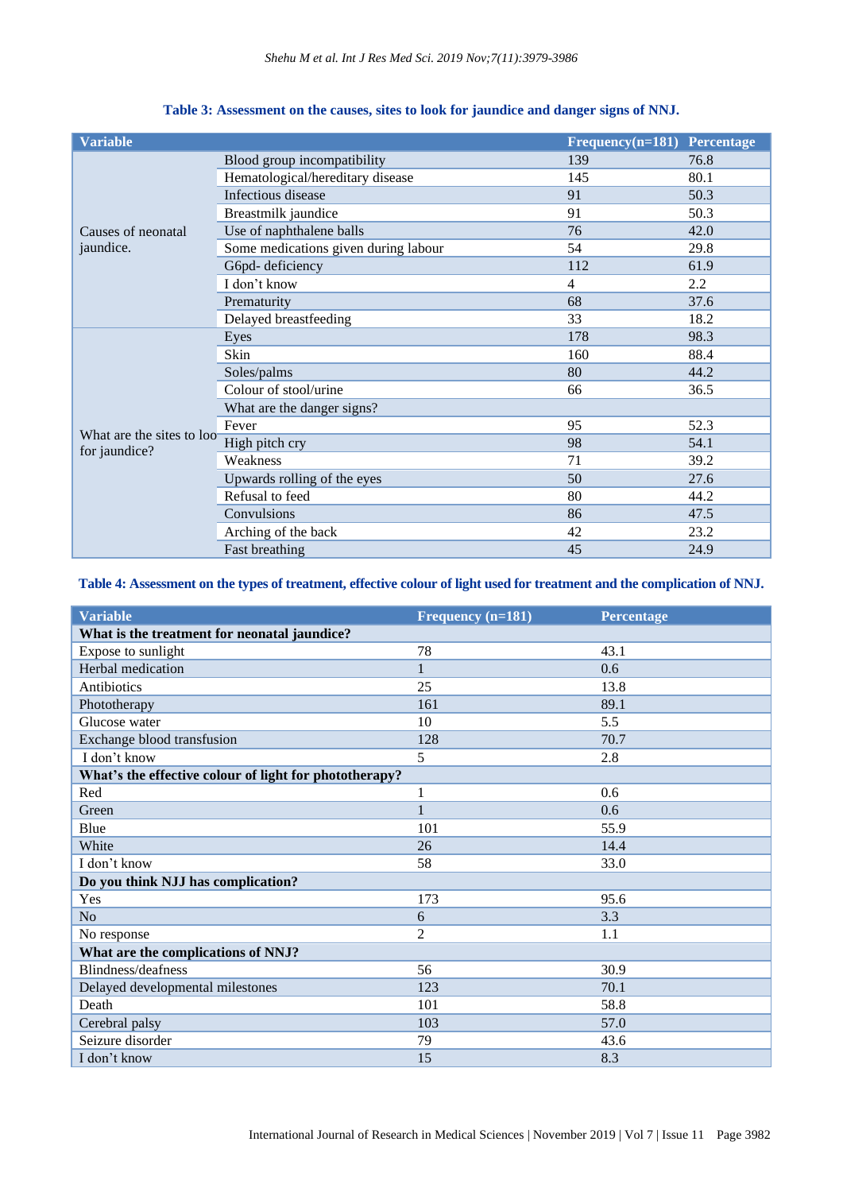| <b>Variable</b>                 |                                      | $Frequency(n=181)$ Percentage |      |
|---------------------------------|--------------------------------------|-------------------------------|------|
| Causes of neonatal<br>jaundice. | Blood group incompatibility          | 139                           | 76.8 |
|                                 | Hematological/hereditary disease     | 145                           | 80.1 |
|                                 | Infectious disease                   | 91                            | 50.3 |
|                                 | Breastmilk jaundice                  | 91                            | 50.3 |
|                                 | Use of naphthalene balls             | 76                            | 42.0 |
|                                 | Some medications given during labour | 54                            | 29.8 |
|                                 | G6pd-deficiency                      | 112                           | 61.9 |
|                                 | I don't know                         | 4                             | 2.2  |
|                                 | Prematurity                          | 68                            | 37.6 |
|                                 | Delayed breastfeeding                | 33                            | 18.2 |
|                                 | Eyes                                 | 178                           | 98.3 |
|                                 | Skin                                 | 160                           | 88.4 |
|                                 | Soles/palms                          | 80                            | 44.2 |
|                                 | Colour of stool/urine                | 66                            | 36.5 |
|                                 | What are the danger signs?           |                               |      |
|                                 | Fever                                | 95                            | 52.3 |
| What are the sites to loo       | High pitch cry                       | 98                            | 54.1 |
| for jaundice?                   | Weakness                             | 71                            | 39.2 |
|                                 | Upwards rolling of the eyes          | 50                            | 27.6 |
|                                 | Refusal to feed                      | 80                            | 44.2 |
|                                 | Convulsions                          | 86                            | 47.5 |
|                                 | Arching of the back                  | 42                            | 23.2 |
|                                 | Fast breathing                       | 45                            | 24.9 |

## **Table 3: Assessment on the causes, sites to look for jaundice and danger signs of NNJ.**

# Table 4: Assessment on the types of treatment, effective colour of light used for treatment and the complication of NNJ.

| <b>Variable</b>                                        | Frequency (n=181) | Percentage |  |  |  |  |
|--------------------------------------------------------|-------------------|------------|--|--|--|--|
| What is the treatment for neonatal jaundice?           |                   |            |  |  |  |  |
| Expose to sunlight                                     | 78                | 43.1       |  |  |  |  |
| Herbal medication                                      | $\mathbf{1}$      | 0.6        |  |  |  |  |
| Antibiotics                                            | 25                | 13.8       |  |  |  |  |
| Phototherapy                                           | 161               | 89.1       |  |  |  |  |
| Glucose water                                          | 10                | 5.5        |  |  |  |  |
| Exchange blood transfusion                             | 128               | 70.7       |  |  |  |  |
| I don't know                                           | 5                 | 2.8        |  |  |  |  |
| What's the effective colour of light for phototherapy? |                   |            |  |  |  |  |
| Red                                                    | $\mathbf{1}$      | 0.6        |  |  |  |  |
| Green                                                  |                   | 0.6        |  |  |  |  |
| Blue                                                   | 101               | 55.9       |  |  |  |  |
| White                                                  | 26                | 14.4       |  |  |  |  |
| I don't know                                           | 58                | 33.0       |  |  |  |  |
| Do you think NJJ has complication?                     |                   |            |  |  |  |  |
| Yes                                                    | 173               | 95.6       |  |  |  |  |
| N <sub>o</sub>                                         | 6                 | 3.3        |  |  |  |  |
| No response                                            | $\overline{2}$    | 1.1        |  |  |  |  |
| What are the complications of NNJ?                     |                   |            |  |  |  |  |
| Blindness/deafness                                     | 56                | 30.9       |  |  |  |  |
| Delayed developmental milestones                       | 123               | 70.1       |  |  |  |  |
| Death                                                  | 101               | 58.8       |  |  |  |  |
| Cerebral palsy                                         | 103               | 57.0       |  |  |  |  |
| Seizure disorder                                       | 79                | 43.6       |  |  |  |  |
| I don't know                                           | 15                | 8.3        |  |  |  |  |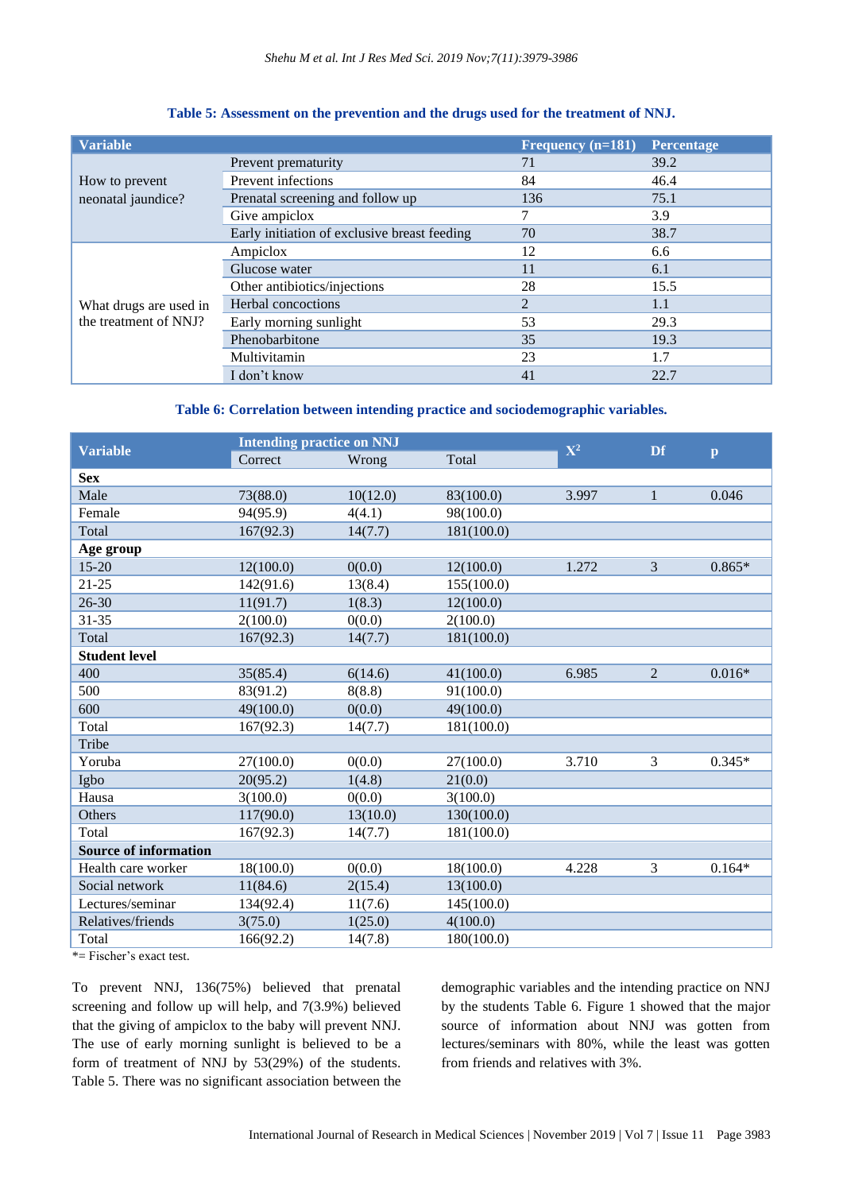| <b>Variable</b>                                 |                                              | Frequency (n=181) | <b>Percentage</b> |
|-------------------------------------------------|----------------------------------------------|-------------------|-------------------|
| How to prevent<br>neonatal jaundice?            | Prevent prematurity                          | 71                | 39.2              |
|                                                 | Prevent infections                           | 84                | 46.4              |
|                                                 | Prenatal screening and follow up             | 136               | 75.1              |
|                                                 | Give ampiclox                                | 7                 | 3.9               |
|                                                 | Early initiation of exclusive breast feeding | 70                | 38.7              |
| What drugs are used in<br>the treatment of NNJ? | Ampiclox                                     | 12                | 6.6               |
|                                                 | Glucose water                                | 11                | 6.1               |
|                                                 | Other antibiotics/injections                 | 28                | 15.5              |
|                                                 | Herbal concoctions                           | $\overline{2}$    | 1.1               |
|                                                 | Early morning sunlight                       | 53                | 29.3              |
|                                                 | Phenobarbitone                               | 35                | 19.3              |
|                                                 | Multivitamin                                 | 23                | 1.7               |
|                                                 | I don't know                                 | 41                | 22.7              |

## **Table 5: Assessment on the prevention and the drugs used for the treatment of NNJ.**

# **Table 6: Correlation between intending practice and sociodemographic variables.**

| <b>Variable</b>              | <b>Intending practice on NNJ</b> |          |            | $\mathbf{X}^2$ | <b>Df</b>      |              |
|------------------------------|----------------------------------|----------|------------|----------------|----------------|--------------|
|                              | Correct                          | Wrong    | Total      |                |                | $\mathbf{p}$ |
| <b>Sex</b>                   |                                  |          |            |                |                |              |
| Male                         | 73(88.0)                         | 10(12.0) | 83(100.0)  | 3.997          | $\mathbf 1$    | 0.046        |
| Female                       | 94(95.9)                         | 4(4.1)   | 98(100.0)  |                |                |              |
| Total                        | 167(92.3)                        | 14(7.7)  | 181(100.0) |                |                |              |
| Age group                    |                                  |          |            |                |                |              |
| $15 - 20$                    | 12(100.0)                        | 0(0.0)   | 12(100.0)  | 1.272          | $\overline{3}$ | $0.865*$     |
| $21 - 25$                    | 142(91.6)                        | 13(8.4)  | 155(100.0) |                |                |              |
| $26 - 30$                    | 11(91.7)                         | 1(8.3)   | 12(100.0)  |                |                |              |
| $31 - 35$                    | 2(100.0)                         | 0(0.0)   | 2(100.0)   |                |                |              |
| Total                        | 167(92.3)                        | 14(7.7)  | 181(100.0) |                |                |              |
| <b>Student level</b>         |                                  |          |            |                |                |              |
| 400                          | 35(85.4)                         | 6(14.6)  | 41(100.0)  | 6.985          | $\overline{2}$ | $0.016*$     |
| 500                          | 83(91.2)                         | 8(8.8)   | 91(100.0)  |                |                |              |
| 600                          | 49(100.0)                        | 0(0.0)   | 49(100.0)  |                |                |              |
| Total                        | 167(92.3)                        | 14(7.7)  | 181(100.0) |                |                |              |
| Tribe                        |                                  |          |            |                |                |              |
| Yoruba                       | 27(100.0)                        | 0(0.0)   | 27(100.0)  | 3.710          | 3              | $0.345*$     |
| Igbo                         | 20(95.2)                         | 1(4.8)   | 21(0.0)    |                |                |              |
| Hausa                        | 3(100.0)                         | 0(0.0)   | 3(100.0)   |                |                |              |
| Others                       | 117(90.0)                        | 13(10.0) | 130(100.0) |                |                |              |
| Total                        | 167(92.3)                        | 14(7.7)  | 181(100.0) |                |                |              |
| <b>Source of information</b> |                                  |          |            |                |                |              |
| Health care worker           | 18(100.0)                        | 0(0.0)   | 18(100.0)  | 4.228          | 3              | $0.164*$     |
| Social network               | 11(84.6)                         | 2(15.4)  | 13(100.0)  |                |                |              |
| Lectures/seminar             | 134(92.4)                        | 11(7.6)  | 145(100.0) |                |                |              |
| Relatives/friends            | 3(75.0)                          | 1(25.0)  | 4(100.0)   |                |                |              |
| Total                        | 166(92.2)                        | 14(7.8)  | 180(100.0) |                |                |              |

\*= Fischer's exact test.

To prevent NNJ, 136(75%) believed that prenatal screening and follow up will help, and 7(3.9%) believed that the giving of ampiclox to the baby will prevent NNJ. The use of early morning sunlight is believed to be a form of treatment of NNJ by 53(29%) of the students. Table 5. There was no significant association between the demographic variables and the intending practice on NNJ by the students Table 6. Figure 1 showed that the major source of information about NNJ was gotten from lectures/seminars with 80%, while the least was gotten from friends and relatives with 3%.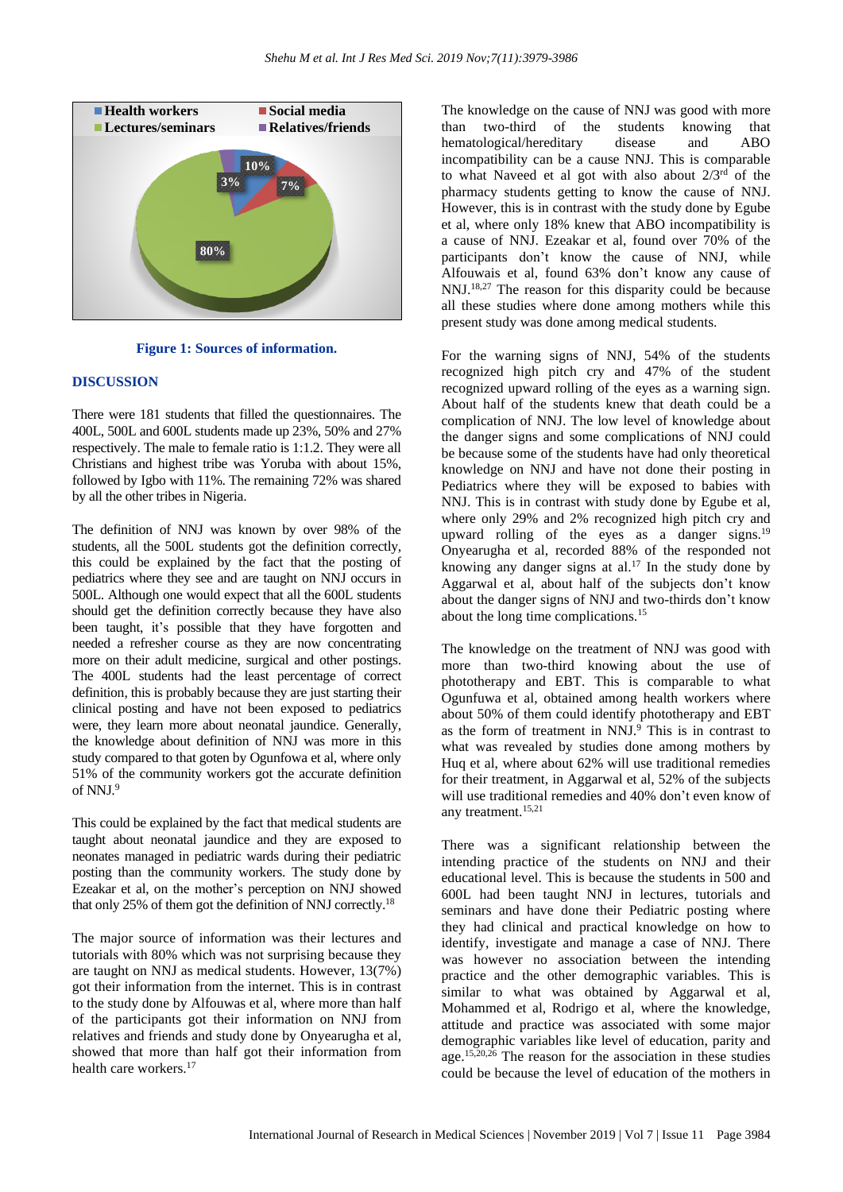

**Figure 1: Sources of information.**

#### **DISCUSSION**

There were 181 students that filled the questionnaires. The 400L, 500L and 600L students made up 23%, 50% and 27% respectively. The male to female ratio is 1:1.2. They were all Christians and highest tribe was Yoruba with about 15%, followed by Igbo with 11%. The remaining 72% was shared by all the other tribes in Nigeria.

The definition of NNJ was known by over 98% of the students, all the 500L students got the definition correctly, this could be explained by the fact that the posting of pediatrics where they see and are taught on NNJ occurs in 500L. Although one would expect that all the 600L students should get the definition correctly because they have also been taught, it's possible that they have forgotten and needed a refresher course as they are now concentrating more on their adult medicine, surgical and other postings. The 400L students had the least percentage of correct definition, this is probably because they are just starting their clinical posting and have not been exposed to pediatrics were, they learn more about neonatal jaundice. Generally, the knowledge about definition of NNJ was more in this study compared to that goten by Ogunfowa et al, where only 51% of the community workers got the accurate definition of NNJ.<sup>9</sup>

This could be explained by the fact that medical students are taught about neonatal jaundice and they are exposed to neonates managed in pediatric wards during their pediatric posting than the community workers. The study done by Ezeakar et al, on the mother's perception on NNJ showed that only 25% of them got the definition of NNJ correctly.<sup>18</sup>

The major source of information was their lectures and tutorials with 80% which was not surprising because they are taught on NNJ as medical students. However, 13(7%) got their information from the internet. This is in contrast to the study done by Alfouwas et al, where more than half of the participants got their information on NNJ from relatives and friends and study done by Onyearugha et al, showed that more than half got their information from health care workers.<sup>17</sup>

The knowledge on the cause of NNJ was good with more than two-third of the students knowing that hematological/hereditary disease and ABO incompatibility can be a cause NNJ. This is comparable to what Naveed et al got with also about  $2/3^{rd}$  of the pharmacy students getting to know the cause of NNJ. However, this is in contrast with the study done by Egube et al, where only 18% knew that ABO incompatibility is a cause of NNJ. Ezeakar et al, found over 70% of the participants don't know the cause of NNJ, while Alfouwais et al, found 63% don't know any cause of NNJ.18,27 The reason for this disparity could be because all these studies where done among mothers while this present study was done among medical students.

For the warning signs of NNJ, 54% of the students recognized high pitch cry and 47% of the student recognized upward rolling of the eyes as a warning sign. About half of the students knew that death could be a complication of NNJ. The low level of knowledge about the danger signs and some complications of NNJ could be because some of the students have had only theoretical knowledge on NNJ and have not done their posting in Pediatrics where they will be exposed to babies with NNJ. This is in contrast with study done by Egube et al, where only 29% and 2% recognized high pitch cry and upward rolling of the eyes as a danger signs.<sup>19</sup> Onyearugha et al, recorded 88% of the responded not knowing any danger signs at al.<sup>17</sup> In the study done by Aggarwal et al, about half of the subjects don't know about the danger signs of NNJ and two-thirds don't know about the long time complications.<sup>15</sup>

The knowledge on the treatment of NNJ was good with more than two-third knowing about the use of phototherapy and EBT. This is comparable to what Ogunfuwa et al, obtained among health workers where about 50% of them could identify phototherapy and EBT as the form of treatment in  $NNJ<sup>9</sup>$ . This is in contrast to what was revealed by studies done among mothers by Huq et al, where about 62% will use traditional remedies for their treatment, in Aggarwal et al, 52% of the subjects will use traditional remedies and 40% don't even know of any treatment.15,21

There was a significant relationship between the intending practice of the students on NNJ and their educational level. This is because the students in 500 and 600L had been taught NNJ in lectures, tutorials and seminars and have done their Pediatric posting where they had clinical and practical knowledge on how to identify, investigate and manage a case of NNJ. There was however no association between the intending practice and the other demographic variables. This is similar to what was obtained by Aggarwal et al, Mohammed et al, Rodrigo et al, where the knowledge, attitude and practice was associated with some major demographic variables like level of education, parity and age.15,20,26 The reason for the association in these studies could be because the level of education of the mothers in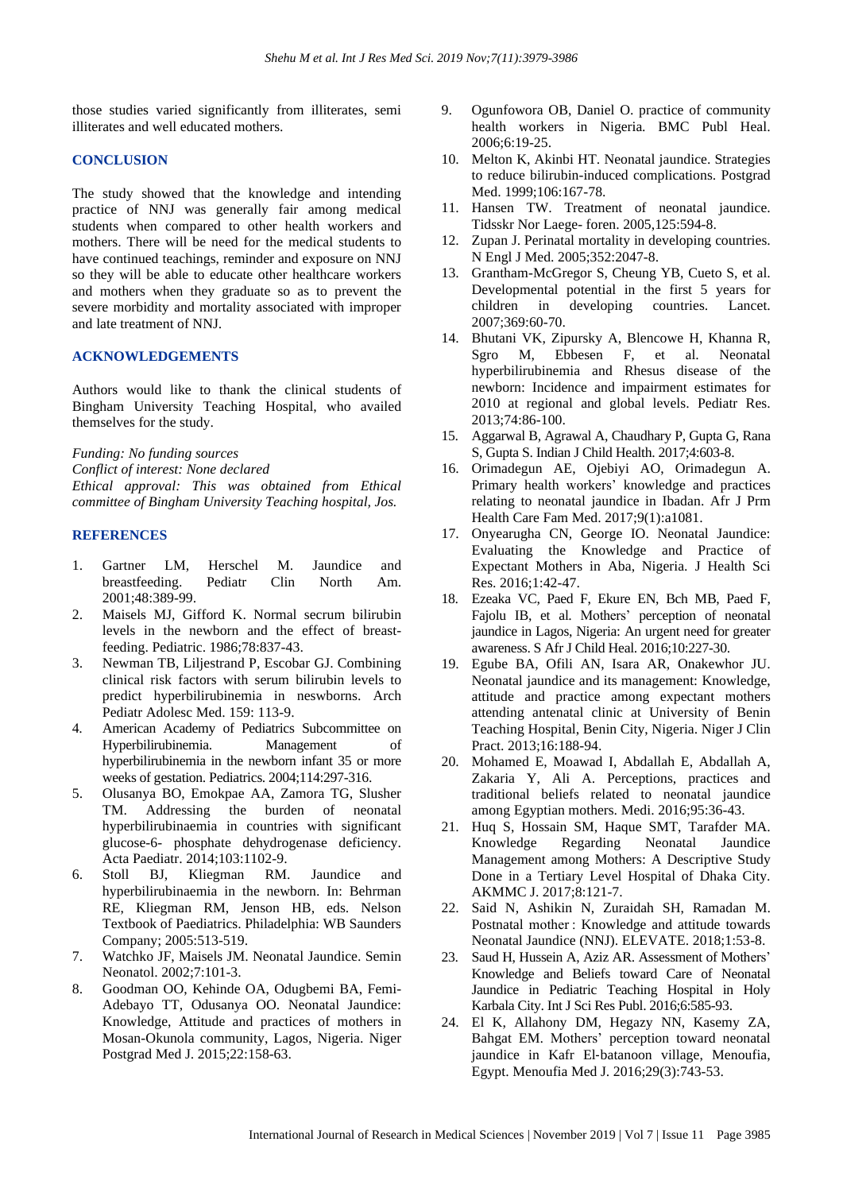those studies varied significantly from illiterates, semi illiterates and well educated mothers.

#### **CONCLUSION**

The study showed that the knowledge and intending practice of NNJ was generally fair among medical students when compared to other health workers and mothers. There will be need for the medical students to have continued teachings, reminder and exposure on NNJ so they will be able to educate other healthcare workers and mothers when they graduate so as to prevent the severe morbidity and mortality associated with improper and late treatment of NNJ.

#### **ACKNOWLEDGEMENTS**

Authors would like to thank the clinical students of Bingham University Teaching Hospital, who availed themselves for the study.

*Funding: No funding sources Conflict of interest: None declared Ethical approval: This was obtained from Ethical committee of Bingham University Teaching hospital, Jos.*

#### **REFERENCES**

- 1. Gartner LM, Herschel M. Jaundice and<br>breastfeeding. Pediatr Clin North Am. breastfeeding. Pediatr Clin North Am. 2001;48:389-99.
- 2. Maisels MJ, Gifford K. Normal secrum bilirubin levels in the newborn and the effect of breastfeeding. Pediatric. 1986;78:837-43.
- 3. Newman TB, Liljestrand P, Escobar GJ. Combining clinical risk factors with serum bilirubin levels to predict hyperbilirubinemia in neswborns. Arch Pediatr Adolesc Med. 159: 113-9.
- 4. American Academy of Pediatrics Subcommittee on Hyperbilirubinemia. Management of hyperbilirubinemia in the newborn infant 35 or more weeks of gestation. Pediatrics. 2004;114:297-316.
- 5. Olusanya BO, Emokpae AA, Zamora TG, Slusher TM. Addressing the burden of neonatal hyperbilirubinaemia in countries with significant glucose-6- phosphate dehydrogenase deficiency. Acta Paediatr. 2014;103:1102-9.
- 6. Stoll BJ, Kliegman RM. Jaundice and hyperbilirubinaemia in the newborn. In: Behrman RE, Kliegman RM, Jenson HB, eds. Nelson Textbook of Paediatrics. Philadelphia: WB Saunders Company; 2005:513-519.
- 7. Watchko JF, Maisels JM. Neonatal Jaundice. Semin Neonatol. 2002;7:101-3.
- 8. Goodman OO, Kehinde OA, Odugbemi BA, Femi-Adebayo TT, Odusanya OO. Neonatal Jaundice: Knowledge, Attitude and practices of mothers in Mosan-Okunola community, Lagos, Nigeria. Niger Postgrad Med J. 2015;22:158-63.
- 9. Ogunfowora OB, Daniel O. practice of community health workers in Nigeria. BMC Publ Heal. 2006;6:19-25.
- 10. Melton K, Akinbi HT. Neonatal jaundice. Strategies to reduce bilirubin-induced complications. Postgrad Med. 1999;106:167-78.
- 11. Hansen TW. Treatment of neonatal jaundice. Tidsskr Nor Laege- foren. 2005,125:594-8.
- 12. Zupan J. Perinatal mortality in developing countries. N Engl J Med. 2005;352:2047-8.
- 13. Grantham-McGregor S, Cheung YB, Cueto S, et al. Developmental potential in the first 5 years for children in developing countries. Lancet. 2007;369:60-70.
- 14. Bhutani VK, Zipursky A, Blencowe H, Khanna R, Sgro M, Ebbesen F, et al. Neonatal hyperbilirubinemia and Rhesus disease of the newborn: Incidence and impairment estimates for 2010 at regional and global levels. Pediatr Res. 2013;74:86-100.
- 15. Aggarwal B, Agrawal A, Chaudhary P, Gupta G, Rana S, Gupta S. Indian J Child Health. 2017;4:603-8.
- 16. Orimadegun AE, Ojebiyi AO, Orimadegun A. Primary health workers' knowledge and practices relating to neonatal jaundice in Ibadan. Afr J Prm Health Care Fam Med. 2017;9(1):a1081.
- 17. Onyearugha CN, George IO. Neonatal Jaundice: Evaluating the Knowledge and Practice of Expectant Mothers in Aba, Nigeria. J Health Sci Res. 2016;1:42-47.
- 18. Ezeaka VC, Paed F, Ekure EN, Bch MB, Paed F, Fajolu IB, et al. Mothers' perception of neonatal jaundice in Lagos, Nigeria: An urgent need for greater awareness. S Afr J Child Heal. 2016;10:227-30.
- 19. Egube BA, Ofili AN, Isara AR, Onakewhor JU. Neonatal jaundice and its management: Knowledge, attitude and practice among expectant mothers attending antenatal clinic at University of Benin Teaching Hospital, Benin City, Nigeria. Niger J Clin Pract. 2013;16:188-94.
- 20. Mohamed E, Moawad I, Abdallah E, Abdallah A, Zakaria Y, Ali A. Perceptions, practices and traditional beliefs related to neonatal jaundice among Egyptian mothers. Medi. 2016;95:36-43.
- 21. Huq S, Hossain SM, Haque SMT, Tarafder MA. Knowledge Regarding Neonatal Jaundice Management among Mothers: A Descriptive Study Done in a Tertiary Level Hospital of Dhaka City. AKMMC J. 2017;8:121-7.
- 22. Said N, Ashikin N, Zuraidah SH, Ramadan M. Postnatal mother : Knowledge and attitude towards Neonatal Jaundice (NNJ). ELEVATE. 2018;1:53-8.
- 23. Saud H, Hussein A, Aziz AR. Assessment of Mothers' Knowledge and Beliefs toward Care of Neonatal Jaundice in Pediatric Teaching Hospital in Holy Karbala City. Int J Sci Res Publ. 2016;6:585-93.
- 24. El K, Allahony DM, Hegazy NN, Kasemy ZA, Bahgat EM. Mothers' perception toward neonatal jaundice in Kafr El‑batanoon village, Menoufia, Egypt. Menoufia Med J. 2016;29(3):743-53.